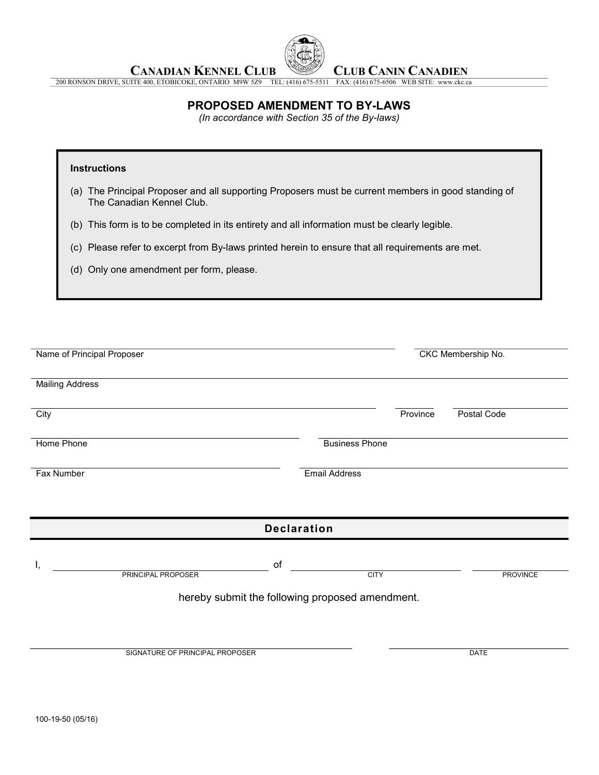

CANADIAN KENNEL CLUB **CLUB CANIN CANADIEN** 

200 RONSON DRIVE, SUITE 400, ETOBICOKE, ONTARIO M9W 5Z9 TEL: (416) 675-5511 FAX: (416) 675-6506 WEB SITE: www.ckc.ca

# PROPOSED AMENDMENT TO BY-LAWS

(In accordance with Section 35 of the By-laws)

### **Instructions**

 (a) The Principal Proposer and all supporting Proposers must be current members in good standing of The Canadian Kennel Club.

(b) This form is to be completed in its entirety and all information must be clearly legible.

(c) Please refer to excerpt from By-laws printed herein to ensure that all requirements are met.

(d) Only one amendment per form, please.

| Name of Principal Proposer                      | CKC Membership No.    |  |                 |  |  |
|-------------------------------------------------|-----------------------|--|-----------------|--|--|
| <b>Mailing Address</b>                          |                       |  |                 |  |  |
| City                                            | Province              |  | Postal Code     |  |  |
| Home Phone                                      | <b>Business Phone</b> |  |                 |  |  |
| <b>Fax Number</b>                               | <b>Email Address</b>  |  |                 |  |  |
|                                                 |                       |  |                 |  |  |
| <b>Declaration</b>                              |                       |  |                 |  |  |
| of<br><b>PRINCIPAL PROPOSER</b>                 | <b>CITY</b>           |  | <b>PROVINCE</b> |  |  |
| hereby submit the following proposed amendment. |                       |  |                 |  |  |
|                                                 |                       |  |                 |  |  |
| SIGNATURE OF PRINCIPAL PROPOSER                 |                       |  | <b>DATE</b>     |  |  |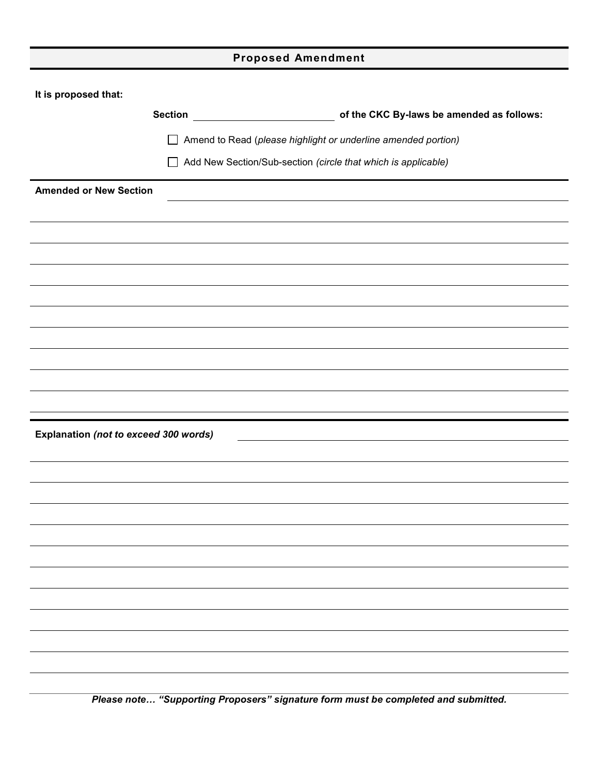|  | <b>Proposed Amendment</b> |
|--|---------------------------|
|--|---------------------------|

|  |  | It is proposed that: |  |
|--|--|----------------------|--|
|--|--|----------------------|--|

|                                       | <b>Section</b>                                                |                                                                      |  |
|---------------------------------------|---------------------------------------------------------------|----------------------------------------------------------------------|--|
|                                       |                                                               | $\Box$ Amend to Read (please highlight or underline amended portion) |  |
|                                       | Add New Section/Sub-section (circle that which is applicable) |                                                                      |  |
| <b>Amended or New Section</b>         |                                                               |                                                                      |  |
|                                       |                                                               |                                                                      |  |
|                                       |                                                               |                                                                      |  |
|                                       |                                                               |                                                                      |  |
|                                       |                                                               |                                                                      |  |
|                                       |                                                               |                                                                      |  |
|                                       |                                                               |                                                                      |  |
|                                       |                                                               |                                                                      |  |
|                                       |                                                               |                                                                      |  |
|                                       |                                                               |                                                                      |  |
|                                       |                                                               |                                                                      |  |
| Explanation (not to exceed 300 words) |                                                               | <u> 1980 - Johann Stoff, fransk politik (d. 1980)</u>                |  |
|                                       |                                                               |                                                                      |  |
|                                       |                                                               |                                                                      |  |
|                                       |                                                               |                                                                      |  |
|                                       |                                                               |                                                                      |  |
|                                       |                                                               |                                                                      |  |
|                                       |                                                               |                                                                      |  |
|                                       |                                                               |                                                                      |  |
|                                       |                                                               |                                                                      |  |
|                                       |                                                               |                                                                      |  |
|                                       |                                                               |                                                                      |  |
|                                       |                                                               |                                                                      |  |
|                                       |                                                               |                                                                      |  |

Please note… "Supporting Proposers" signature form must be completed and submitted.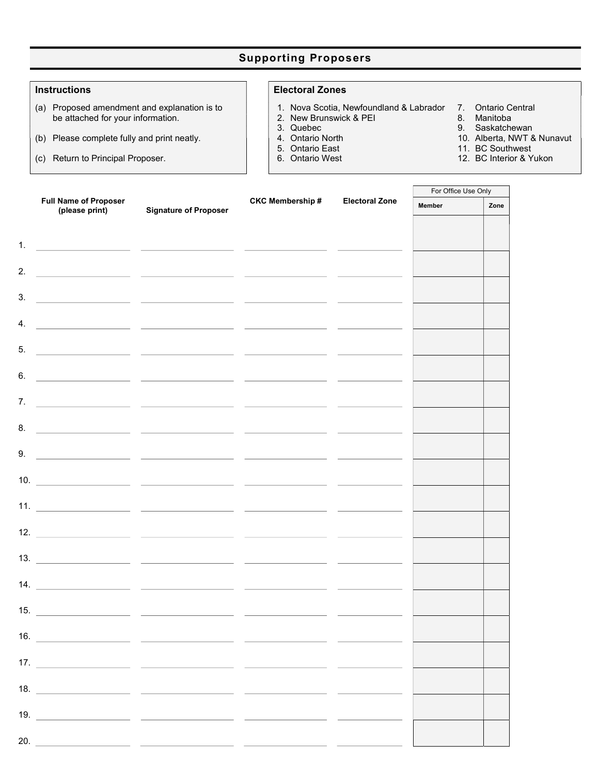# Supporting Proposers

- (a) Proposed amendment and explanation is to be attached for your information.
- (b) Please complete fully and print neatly.
- (c) Return to Principal Proposer.

### Instructions **Electoral Zones**

- 1. Nova Scotia, Newfoundland & Labrador 7. Ontario Central
- 2. New Brunswick & PEI 8.<br>3. Quebec 9.
- 
- 
- 
- 
- 
- 
- 3. Quebec 1. Saskatchewan<br>
4. Ontario North 1. 2009 1. Saskatchewan<br>
10. Alberta, NWT 8
- 4. Ontario North 10. Alberta, NWT & Nunavut 5. Ontario East 11. BC Southwest
- 5. Ontario East 11. BC Southwest<br>6. Ontario West 12. BC Interior & Y
	- 12. BC Interior & Yukon

 $\overline{\phantom{0}}$ 

|    |                                                |                                                                                                                      |                         |                       | For Office Use Only |      |
|----|------------------------------------------------|----------------------------------------------------------------------------------------------------------------------|-------------------------|-----------------------|---------------------|------|
|    | <b>Full Name of Proposer</b><br>(please print) | <b>Signature of Proposer</b>                                                                                         | <b>CKC Membership #</b> | <b>Electoral Zone</b> | <b>Member</b>       | Zone |
| 1. |                                                |                                                                                                                      |                         |                       |                     |      |
|    |                                                | <u> 1980 - Antonio Alemania, prima postala prima prima prima prima prima prima prima prima prima prima prima pri</u> |                         |                       |                     |      |
| 2. |                                                | <u> 1989 - Jan James James, politik fizikar (h. 1989).</u>                                                           |                         |                       |                     |      |
| 3. |                                                |                                                                                                                      |                         |                       |                     |      |
| 4. |                                                |                                                                                                                      |                         |                       |                     |      |
| 5. |                                                | <u> 1990 - Jan James James Barnett, president eta idazlearen 1991</u>                                                |                         |                       |                     |      |
| 6. |                                                | <u> 1999 - Jan James James, maria eta politikari (h. 1908).</u>                                                      |                         |                       |                     |      |
| 7. |                                                | <u> 1990 - Jan James James Barnett, politik eta politik eta politik eta politika eta politika eta politika eta p</u> |                         |                       |                     |      |
| 8. |                                                |                                                                                                                      |                         |                       |                     |      |
| 9. |                                                |                                                                                                                      |                         |                       |                     |      |
|    |                                                |                                                                                                                      |                         |                       |                     |      |
|    |                                                | 10. $\qquad \qquad$                                                                                                  |                         |                       |                     |      |
|    |                                                |                                                                                                                      |                         |                       |                     |      |
|    |                                                |                                                                                                                      |                         |                       |                     |      |
|    |                                                |                                                                                                                      |                         |                       |                     |      |
|    |                                                |                                                                                                                      |                         |                       |                     |      |
|    |                                                |                                                                                                                      |                         |                       |                     |      |
|    |                                                |                                                                                                                      |                         |                       |                     |      |
|    |                                                |                                                                                                                      |                         |                       |                     |      |
|    |                                                |                                                                                                                      |                         |                       |                     |      |
|    |                                                |                                                                                                                      |                         |                       |                     |      |
|    |                                                |                                                                                                                      |                         |                       |                     |      |
|    |                                                |                                                                                                                      |                         |                       |                     |      |